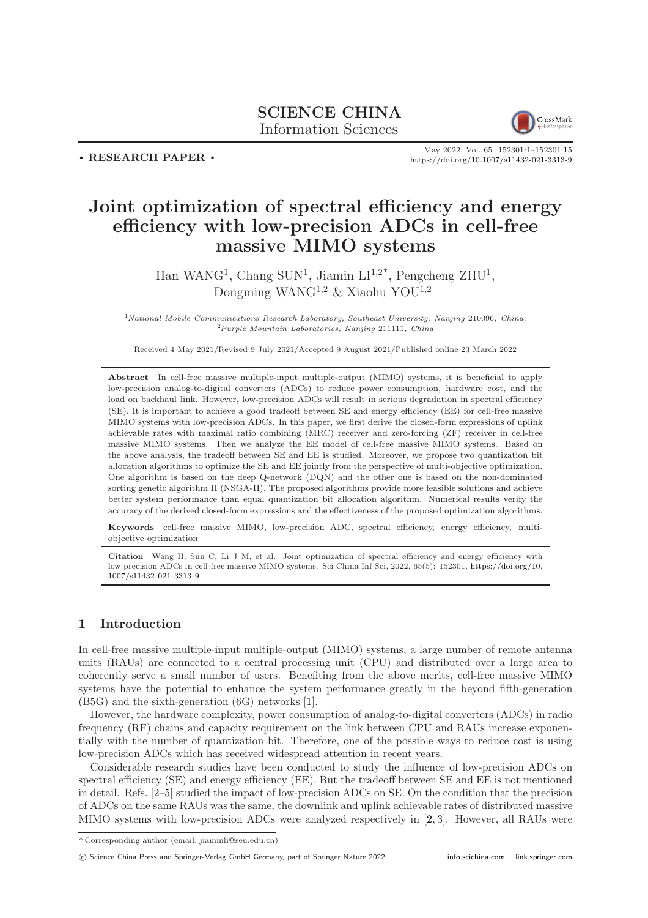## SCIENCE CHINA Information Sciences



. RESEARCH PAPER .

May 2022, Vol. 65 152301:1–152301[:15](#page-14-0) <https://doi.org/10.1007/s11432-021-3313-9>

# Joint optimization of spectral efficiency and energy efficiency with low-precision ADCs in cell-free massive MIMO systems

Han WANG<sup>1</sup>, Chang SUN<sup>1</sup>, Jiamin  $LI^{1,2^*}$ , Pengcheng ZHU<sup>1</sup>, Dongming WANG<sup>1,2</sup> & Xiaohu YOU<sup>1,2</sup>

 $1$ <sup>N</sup>ational Mobile Communications Research Laboratory, Southeast University, Nanjing 210096, China; <sup>2</sup>Purple Mountain Laboratories, Nanjing 211111, China

Received 4 May 2021/Revised 9 July 2021/Accepted 9 August 2021/Published online 23 March 2022

Abstract In cell-free massive multiple-input multiple-output (MIMO) systems, it is beneficial to apply low-precision analog-to-digital converters (ADCs) to reduce power consumption, hardware cost, and the load on backhaul link. However, low-precision ADCs will result in serious degradation in spectral efficiency (SE). It is important to achieve a good tradeoff between SE and energy efficiency (EE) for cell-free massive MIMO systems with low-precision ADCs. In this paper, we first derive the closed-form expressions of uplink achievable rates with maximal ratio combining (MRC) receiver and zero-forcing (ZF) receiver in cell-free massive MIMO systems. Then we analyze the EE model of cell-free massive MIMO systems. Based on the above analysis, the tradeoff between SE and EE is studied. Moreover, we propose two quantization bit allocation algorithms to optimize the SE and EE jointly from the perspective of multi-objective optimization. One algorithm is based on the deep Q-network (DQN) and the other one is based on the non-dominated sorting genetic algorithm II (NSGA-II). The proposed algorithms provide more feasible solutions and achieve better system performance than equal quantization bit allocation algorithm. Numerical results verify the accuracy of the derived closed-form expressions and the effectiveness of the proposed optimization algorithms.

Keywords cell-free massive MIMO, low-precision ADC, spectral efficiency, energy efficiency, multiobjective optimization

Citation Wang H, Sun C, Li J M, et al. Joint optimization of spectral efficiency and energy efficiency with low-precision ADCs in cell-free massive MIMO systems. Sci China Inf Sci, 2022, 65(5): 152301, [https://doi.org/10.](https://doi.org/10.1007/s11432-021-3313-9) [1007/s11432-021-3313-9](https://doi.org/10.1007/s11432-021-3313-9)

## 1 Introduction

In cell-free massive multiple-input multiple-output (MIMO) systems, a large number of remote antenna units (RAUs) are connected to a central processing unit (CPU) and distributed over a large area to coherently serve a small number of users. Benefiting from the above merits, cell-free massive MIMO systems have the potential to enhance the system performance greatly in the beyond fifth-generation (B5G) and the sixth-generation (6G) networks [\[1\]](#page-13-0).

However, the hardware complexity, power consumption of analog-to-digital converters (ADCs) in radio frequency (RF) chains and capacity requirement on the link between CPU and RAUs increase exponentially with the number of quantization bit. Therefore, one of the possible ways to reduce cost is using low-precision ADCs which has received widespread attention in recent years.

Considerable research studies have been conducted to study the influence of low-precision ADCs on spectral efficiency (SE) and energy efficiency (EE). But the tradeoff between SE and EE is not mentioned in detail. Refs. [\[2](#page-13-1)[–5\]](#page-13-2) studied the impact of low-precision ADCs on SE. On the condition that the precision of ADCs on the same RAUs was the same, the downlink and uplink achievable rates of distributed massive MIMO systems with low-precision ADCs were analyzed respectively in [\[2,](#page-13-1) [3\]](#page-13-3). However, all RAUs were

c Science China Press and Springer-Verlag GmbH Germany, part of Springer Nature 2022 <info.scichina.com><link.springer.com>

<sup>\*</sup> Corresponding author (email: jiaminli@seu.edu.cn)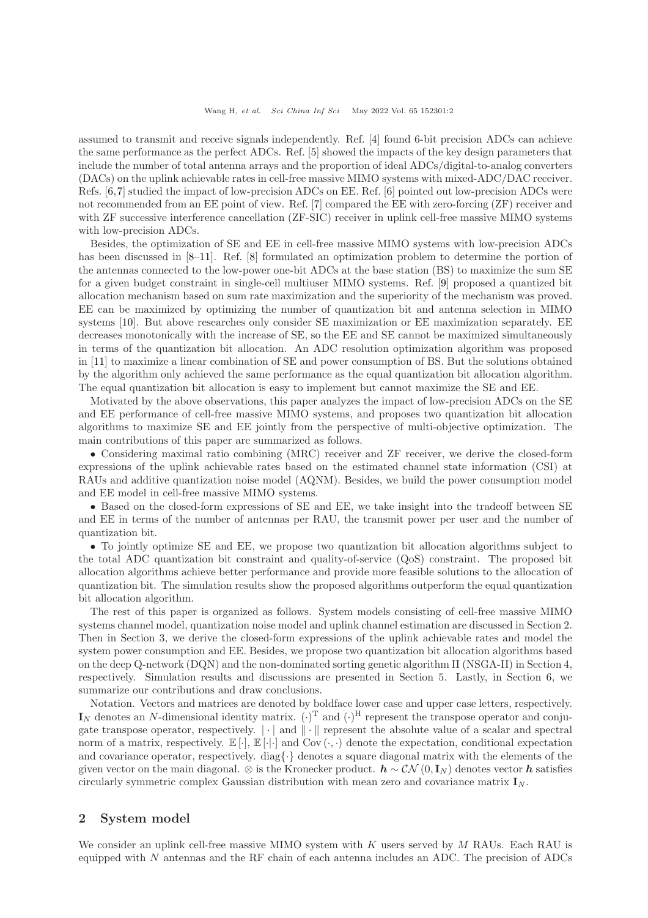assumed to transmit and receive signals independently. Ref. [\[4\]](#page-13-4) found 6-bit precision ADCs can achieve the same performance as the perfect ADCs. Ref. [\[5\]](#page-13-2) showed the impacts of the key design parameters that include the number of total antenna arrays and the proportion of ideal ADCs/digital-to-analog converters (DACs) on the uplink achievable rates in cell-free massive MIMO systems with mixed-ADC/DAC receiver. Refs. [\[6,](#page-13-5)[7\]](#page-13-6) studied the impact of low-precision ADCs on EE. Ref. [\[6\]](#page-13-5) pointed out low-precision ADCs were not recommended from an EE point of view. Ref. [\[7\]](#page-13-6) compared the EE with zero-forcing (ZF) receiver and with ZF successive interference cancellation (ZF-SIC) receiver in uplink cell-free massive MIMO systems with low-precision ADCs.

Besides, the optimization of SE and EE in cell-free massive MIMO systems with low-precision ADCs has been discussed in [\[8](#page-13-7)[–11\]](#page-13-8). Ref. [\[8\]](#page-13-7) formulated an optimization problem to determine the portion of the antennas connected to the low-power one-bit ADCs at the base station (BS) to maximize the sum SE for a given budget constraint in single-cell multiuser MIMO systems. Ref. [\[9\]](#page-13-9) proposed a quantized bit allocation mechanism based on sum rate maximization and the superiority of the mechanism was proved. EE can be maximized by optimizing the number of quantization bit and antenna selection in MIMO systems [\[10\]](#page-13-10). But above researches only consider SE maximization or EE maximization separately. EE decreases monotonically with the increase of SE, so the EE and SE cannot be maximized simultaneously in terms of the quantization bit allocation. An ADC resolution optimization algorithm was proposed in [\[11\]](#page-13-8) to maximize a linear combination of SE and power consumption of BS. But the solutions obtained by the algorithm only achieved the same performance as the equal quantization bit allocation algorithm. The equal quantization bit allocation is easy to implement but cannot maximize the SE and EE.

Motivated by the above observations, this paper analyzes the impact of low-precision ADCs on the SE and EE performance of cell-free massive MIMO systems, and proposes two quantization bit allocation algorithms to maximize SE and EE jointly from the perspective of multi-objective optimization. The main contributions of this paper are summarized as follows.

• Considering maximal ratio combining (MRC) receiver and ZF receiver, we derive the closed-form expressions of the uplink achievable rates based on the estimated channel state information (CSI) at RAUs and additive quantization noise model (AQNM). Besides, we build the power consumption model and EE model in cell-free massive MIMO systems.

• Based on the closed-form expressions of SE and EE, we take insight into the tradeoff between SE and EE in terms of the number of antennas per RAU, the transmit power per user and the number of quantization bit.

• To jointly optimize SE and EE, we propose two quantization bit allocation algorithms subject to the total ADC quantization bit constraint and quality-of-service (QoS) constraint. The proposed bit allocation algorithms achieve better performance and provide more feasible solutions to the allocation of quantization bit. The simulation results show the proposed algorithms outperform the equal quantization bit allocation algorithm.

The rest of this paper is organized as follows. System models consisting of cell-free massive MIMO systems channel model, quantization noise model and uplink channel estimation are discussed in Section 2. Then in Section 3, we derive the closed-form expressions of the uplink achievable rates and model the system power consumption and EE. Besides, we propose two quantization bit allocation algorithms based on the deep Q-network (DQN) and the non-dominated sorting genetic algorithm II (NSGA-II) in Section 4, respectively. Simulation results and discussions are presented in Section 5. Lastly, in Section 6, we summarize our contributions and draw conclusions.

Notation. Vectors and matrices are denoted by boldface lower case and upper case letters, respectively.  $\mathbf{I}_N$  denotes an N-dimensional identity matrix.  $(\cdot)^T$  and  $(\cdot)^H$  represent the transpose operator and conjugate transpose operator, respectively.  $|\cdot|$  and  $\|\cdot\|$  represent the absolute value of a scalar and spectral norm of a matrix, respectively.  $\mathbb{E}[\cdot], \mathbb{E}[\cdot]$  and  $Cov(\cdot, \cdot)$  denote the expectation, conditional expectation and covariance operator, respectively. diag $\{\cdot\}$  denotes a square diagonal matrix with the elements of the given vector on the main diagonal. ⊗ is the Kronecker product.  $h \sim \mathcal{CN}(0, I_N)$  denotes vector h satisfies circularly symmetric complex Gaussian distribution with mean zero and covariance matrix  $I_N$ .

## 2 System model

We consider an uplink cell-free massive MIMO system with  $K$  users served by  $M$  RAUs. Each RAU is equipped with N antennas and the RF chain of each antenna includes an ADC. The precision of ADCs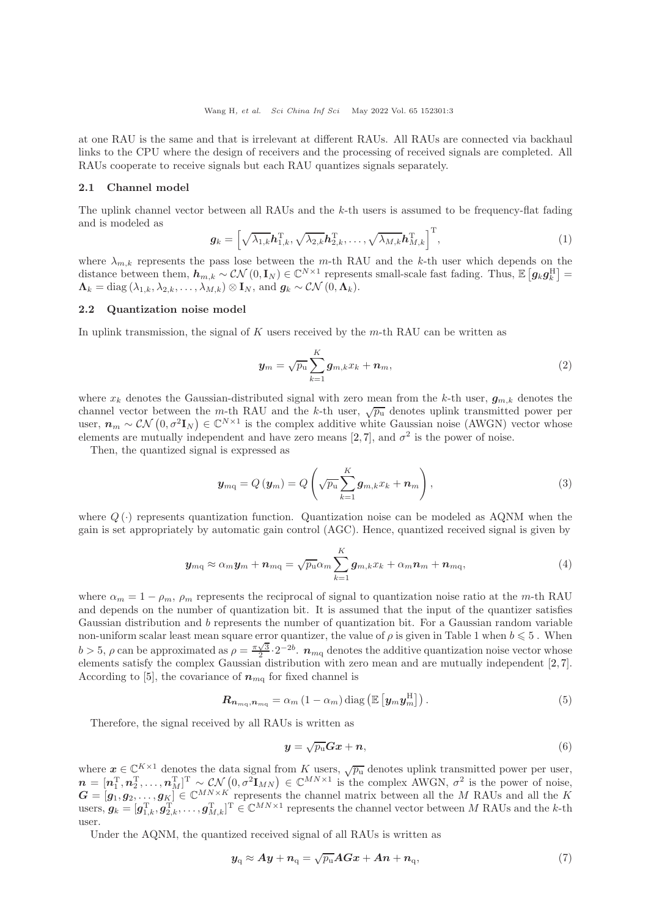at one RAU is the same and that is irrelevant at different RAUs. All RAUs are connected via backhaul links to the CPU where the design of receivers and the processing of received signals are completed. All RAUs cooperate to receive signals but each RAU quantizes signals separately.

#### 2.1 Channel model

The uplink channel vector between all RAUs and the  $k$ -th users is assumed to be frequency-flat fading and is modeled as

$$
\boldsymbol{g}_k = \left[ \sqrt{\lambda_{1,k}} \boldsymbol{h}_{1,k}^{\mathrm{T}}, \sqrt{\lambda_{2,k}} \boldsymbol{h}_{2,k}^{\mathrm{T}}, \dots, \sqrt{\lambda_{M,k}} \boldsymbol{h}_{M,k}^{\mathrm{T}} \right]^{\mathrm{T}},\tag{1}
$$

where  $\lambda_{m,k}$  represents the pass lose between the m-th RAU and the k-th user which depends on the distance between them,  $h_{m,k} \sim \mathcal{CN}(0, I_N) \in \mathbb{C}^{N \times 1}$  represents small-scale fast fading. Thus,  $\mathbb{E}\left[g_k g_k^{\rm H}\right] =$  $\Lambda_k = \text{diag}(\lambda_{1,k}, \lambda_{2,k}, \ldots, \lambda_{M,k}) \otimes \mathbf{I}_N$ , and  $g_k \sim \mathcal{CN}(0, \Lambda_k)$ .

#### 2.2 Quantization noise model

In uplink transmission, the signal of  $K$  users received by the  $m$ -th RAU can be written as

$$
\boldsymbol{y}_m = \sqrt{p_\mathrm{u}} \sum_{k=1}^K \boldsymbol{g}_{m,k} x_k + \boldsymbol{n}_m,\tag{2}
$$

where  $x_k$  denotes the Gaussian-distributed signal with zero mean from the k-th user,  $g_{m,k}$  denotes the channel vector between the m-th RAU and the k-th user,  $\sqrt{p_u}$  denotes uplink transmitted power per user,  $n_m \sim \mathcal{CN}(0, \sigma^2 \mathbf{I}_N) \in \mathbb{C}^{N \times 1}$  is the complex additive white Gaussian noise (AWGN) vector whose elements are mutually independent and have zero means [\[2,](#page-13-1)[7\]](#page-13-6), and  $\sigma^2$  is the power of noise.

Then, the quantized signal is expressed as

$$
\boldsymbol{y}_{mq} = Q\left(\boldsymbol{y}_{m}\right) = Q\left(\sqrt{p_{u}}\sum_{k=1}^{K}\boldsymbol{g}_{m,k}x_{k} + \boldsymbol{n}_{m}\right),\tag{3}
$$

where  $Q(\cdot)$  represents quantization function. Quantization noise can be modeled as AQNM when the gain is set appropriately by automatic gain control (AGC). Hence, quantized received signal is given by

$$
\boldsymbol{y}_{m\mathbf{q}} \approx \alpha_m \boldsymbol{y}_m + \boldsymbol{n}_{m\mathbf{q}} = \sqrt{p_\mathbf{u}} \alpha_m \sum_{k=1}^K \boldsymbol{g}_{m,k} x_k + \alpha_m \boldsymbol{n}_m + \boldsymbol{n}_{m\mathbf{q}}, \qquad (4)
$$

where  $\alpha_m = 1 - \rho_m$ ,  $\rho_m$  represents the reciprocal of signal to quantization noise ratio at the m-th RAU and depends on the number of quantization bit. It is assumed that the input of the quantizer satisfies Gaussian distribution and b represents the number of quantization bit. For a Gaussian random variable non-uniform scalar least mean square error quantizer, the value of  $\rho$  is given in Table 1 when  $b \leq 5$ . When  $b > 5$ ,  $\rho$  can be approximated as  $\rho = \frac{\pi \sqrt{3}}{2} \cdot 2^{-2b}$ .  $n_{mq}$  denotes the additive quantization noise vector whose elements satisfy the complex Gaussian distribution with zero mean and are mutually independent [\[2,](#page-13-1) [7\]](#page-13-6). According to [\[5\]](#page-13-2), the covariance of  $n_{mq}$  for fixed channel is

$$
\boldsymbol{R}_{\boldsymbol{n}_{mq},\boldsymbol{n}_{mq}} = \alpha_m \left(1 - \alpha_m\right) \text{diag}\left(\mathbb{E}\left[\boldsymbol{y}_m \boldsymbol{y}_m^{\text{H}}\right]\right). \tag{5}
$$

Therefore, the signal received by all RAUs is written as

$$
y = \sqrt{p_u}Gx + n,\tag{6}
$$

where  $x \in \mathbb{C}^{K \times 1}$  denotes the data signal from K users,  $\sqrt{p_u}$  denotes uplink transmitted power per user,  $\mathbf{n} = [\mathbf{n}_1^{\mathrm{T}}, \mathbf{n}_2^{\mathrm{T}}, \dots, \mathbf{n}_M^{\mathrm{T}}]^{\mathrm{T}} \sim \mathcal{CN}(0, \sigma^2 \mathbf{I}_{MN}) \in \mathbb{C}^{MN \times 1}$  is the complex AWGN,  $\sigma^2$  is the power of noise,  $G = [g_1, g_2, \ldots, g_K] \in \mathbb{C}^{MN \times K}$  represents the channel matrix between all the M RAUs and all the K users,  $g_k = [g_{1,k}^T, g_{2,k}^T, \ldots, g_{M,k}^T]^T \in \mathbb{C}^{MN \times 1}$  represents the channel vector between M RAUs and the k-th user.

Under the AQNM, the quantized received signal of all RAUs is written as

$$
y_{\rm q} \approx Ay + n_{\rm q} = \sqrt{p_{\rm u}} A G x + An + n_{\rm q},\tag{7}
$$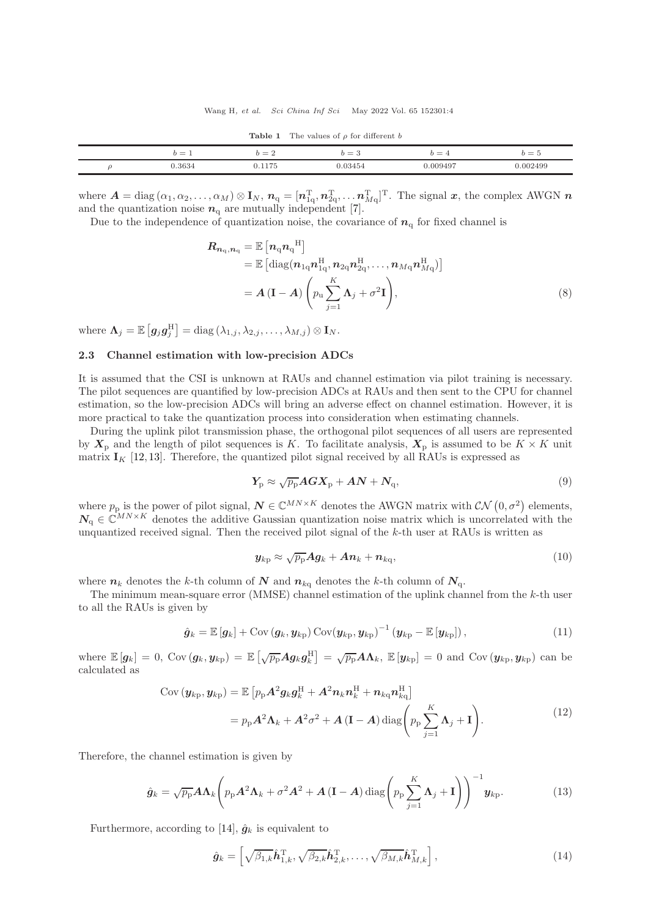| $b =$<br><b>.</b> | $b =$<br>∸ | $=$ 3   |          | $b=5$    |
|-------------------|------------|---------|----------|----------|
| 0.3634            | 1175       | 0.03454 | 0.009497 | 0.002499 |

**Table 1** The values of  $\rho$  for different b

where  $\boldsymbol{A} = \text{diag}(\alpha_1, \alpha_2, \dots, \alpha_M) \otimes \mathbf{I}_N$ ,  $\boldsymbol{n}_q = [\boldsymbol{n}_{1q}^T, \boldsymbol{n}_{2q}^T, \dots, \boldsymbol{n}_{Mq}^T]^T$ . The signal  $\boldsymbol{x}$ , the complex AWGN  $\boldsymbol{n}$ and the quantization noise  $n_q$  are mutually independent [\[7\]](#page-13-6).

Due to the independence of quantization noise, the covariance of  $n_q$  for fixed channel is

$$
\boldsymbol{R}_{n_{\mathrm{q}},n_{\mathrm{q}}} = \mathbb{E}\left[n_{\mathrm{q}}n_{\mathrm{q}}^{\mathrm{H}}\right] \n= \mathbb{E}\left[\mathrm{diag}(n_{1\mathrm{q}}n_{1\mathrm{q}}^{\mathrm{H}},n_{2\mathrm{q}}n_{2\mathrm{q}}^{\mathrm{H}},\ldots,n_{M\mathrm{q}}n_{M\mathrm{q}}^{\mathrm{H}})\right] \n= \boldsymbol{A}\left(\mathbf{I} - \boldsymbol{A}\right)\left(p_{\mathrm{u}}\sum_{j=1}^{K}\boldsymbol{\Lambda}_{j} + \sigma^{2}\mathbf{I}\right),
$$
\n(8)

where  $\mathbf{\Lambda}_j = \mathbb{E}\left[ \boldsymbol{g}_j \boldsymbol{g}_j^{\mathrm{H}} \right] = \mathrm{diag}\left( \lambda_{1,j}, \lambda_{2,j}, \ldots, \lambda_{M,j} \right) \otimes \mathbf{I}_N.$ 

## 2.3 Channel estimation with low-precision ADCs

It is assumed that the CSI is unknown at RAUs and channel estimation via pilot training is necessary. The pilot sequences are quantified by low-precision ADCs at RAUs and then sent to the CPU for channel estimation, so the low-precision ADCs will bring an adverse effect on channel estimation. However, it is more practical to take the quantization process into consideration when estimating channels.

During the uplink pilot transmission phase, the orthogonal pilot sequences of all users are represented by  $X_p$  and the length of pilot sequences is K. To facilitate analysis,  $X_p$  is assumed to be  $K \times K$  unit matrix  $I_K$  [\[12,](#page-13-11) [13\]](#page-13-12). Therefore, the quantized pilot signal received by all RAUs is expressed as

$$
Y_{\rm p} \approx \sqrt{p_{\rm p}} A G X_{\rm p} + A N + N_{\rm q}, \qquad (9)
$$

where  $p_p$  is the power of pilot signal,  $N \in \mathbb{C}^{MN \times K}$  denotes the AWGN matrix with  $\mathcal{CN}(0, \sigma^2)$  elements,  $N_{\alpha} \in \mathbb{C}^{MN \times K}$  denotes the additive Gaussian quantization noise matrix which is uncorrelated with the unquantized received signal. Then the received pilot signal of the k-th user at RAUs is written as

$$
\mathbf{y}_{k\mathrm{p}} \approx \sqrt{p_{\mathrm{p}}} \mathbf{A} \mathbf{g}_k + \mathbf{A} \mathbf{n}_k + \mathbf{n}_{k\mathrm{q}},\tag{10}
$$

where  $n_k$  denotes the k-th column of N and  $n_{kq}$  denotes the k-th column of  $N_q$ .

The minimum mean-square error ( $MMSE$ ) channel estimation of the uplink channel from the  $k$ -th user to all the RAUs is given by

$$
\hat{\boldsymbol{g}}_k = \mathbb{E}\left[\boldsymbol{g}_k\right] + \text{Cov}\left(\boldsymbol{g}_k, \boldsymbol{y}_{k\text{p}}\right) \text{Cov}(\boldsymbol{y}_{k\text{p}}, \boldsymbol{y}_{k\text{p}})^{-1}\left(\boldsymbol{y}_{k\text{p}} - \mathbb{E}\left[\boldsymbol{y}_{k\text{p}}\right]\right),\tag{11}
$$

where  $\mathbb{E}[g_k] = 0$ ,  $Cov(g_k, y_{kp}) = \mathbb{E}[\sqrt{p_p}Ag_kg_k^{\rm H}] = \sqrt{p_p}A\Lambda_k$ ,  $\mathbb{E}[y_{kp}] = 0$  and  $Cov(y_{kp}, y_{kp})$  can be calculated as

$$
Cov(\boldsymbol{y}_{kp}, \boldsymbol{y}_{kp}) = \mathbb{E}\left[p_p \mathbf{A}^2 \boldsymbol{g}_k \boldsymbol{g}_k^{\mathrm{H}} + \mathbf{A}^2 \boldsymbol{n}_k \boldsymbol{n}_k^{\mathrm{H}} + \boldsymbol{n}_{kq} \boldsymbol{n}_{kq}^{\mathrm{H}}\right]
$$

$$
= p_p \mathbf{A}^2 \mathbf{\Lambda}_k + \mathbf{A}^2 \sigma^2 + \mathbf{A} (\mathbf{I} - \mathbf{A}) \operatorname{diag}\left(p_p \sum_{j=1}^K \mathbf{\Lambda}_j + \mathbf{I}\right).
$$
(12)

Therefore, the channel estimation is given by

$$
\hat{g}_k = \sqrt{p_p} A \Lambda_k \left( p_p A^2 \Lambda_k + \sigma^2 A^2 + A \left( \mathbf{I} - A \right) \text{diag} \left( p_p \sum_{j=1}^K \Lambda_j + \mathbf{I} \right) \right)^{-1} \mathbf{y}_{kp}.
$$
 (13)

Furthermore, according to [\[14\]](#page-13-13),  $\hat{g}_k$  is equivalent to

$$
\hat{\boldsymbol{g}}_k = \left[ \sqrt{\beta_{1,k}} \hat{\boldsymbol{h}}_{1,k}^{\mathrm{T}}, \sqrt{\beta_{2,k}} \hat{\boldsymbol{h}}_{2,k}^{\mathrm{T}}, \dots, \sqrt{\beta_{M,k}} \hat{\boldsymbol{h}}_{M,k}^{\mathrm{T}} \right],\tag{14}
$$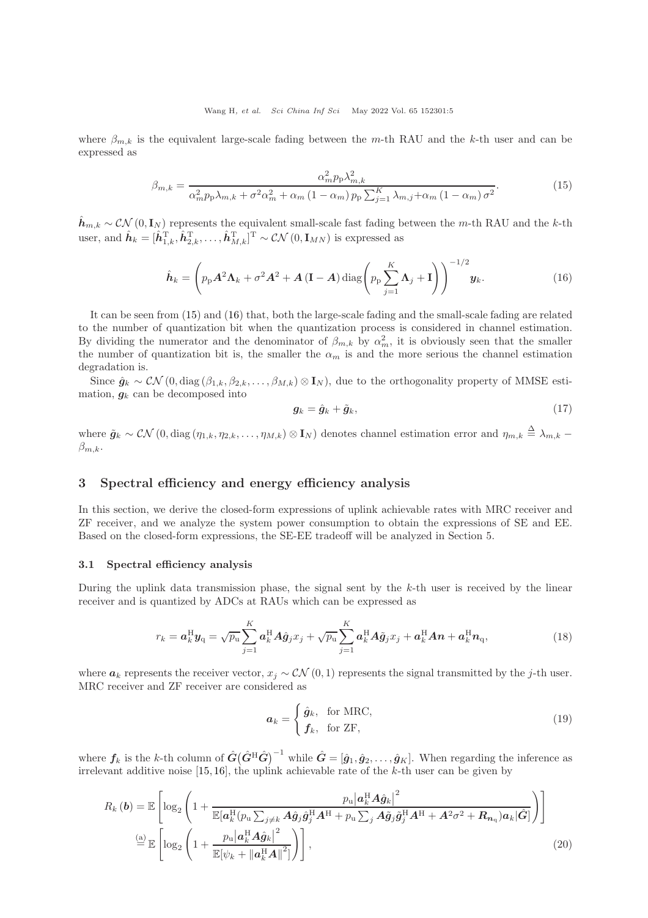where  $\beta_{m,k}$  is the equivalent large-scale fading between the m-th RAU and the k-th user and can be expressed as

<span id="page-4-0"></span>
$$
\beta_{m,k} = \frac{\alpha_m^2 p_p \lambda_{m,k}^2}{\alpha_m^2 p_p \lambda_{m,k} + \sigma^2 \alpha_m^2 + \alpha_m \left(1 - \alpha_m\right) p_p \sum_{j=1}^K \lambda_{m,j} + \alpha_m \left(1 - \alpha_m\right) \sigma^2}.
$$
(15)

 $\hat{h}_{m,k} \sim \mathcal{CN}(0,\mathbf{I}_N)$  represents the equivalent small-scale fast fading between the m-th RAU and the k-th user, and  $\hat{\boldsymbol{h}}_k = [\hat{\boldsymbol{h}}_{1,k}^{\mathrm{T}}, \hat{\boldsymbol{h}}_{2,k}^{\mathrm{T}}, \dots, \hat{\boldsymbol{h}}_{M,k}^{\mathrm{T}}]^{\mathrm{T}} \sim \mathcal{CN}(0, \mathbf{I}_{MN})$  is expressed as

<span id="page-4-1"></span>
$$
\hat{\boldsymbol{h}}_k = \left(p_p \mathbf{A}^2 \mathbf{\Lambda}_k + \sigma^2 \mathbf{A}^2 + \mathbf{A} (\mathbf{I} - \mathbf{A}) \operatorname{diag}\left(p_p \sum_{j=1}^K \mathbf{\Lambda}_j + \mathbf{I}\right)\right)^{-1/2} \mathbf{y}_k.
$$
 (16)

It can be seen from [\(15\)](#page-4-0) and [\(16\)](#page-4-1) that, both the large-scale fading and the small-scale fading are related to the number of quantization bit when the quantization process is considered in channel estimation. By dividing the numerator and the denominator of  $\beta_{m,k}$  by  $\alpha_m^2$ , it is obviously seen that the smaller the number of quantization bit is, the smaller the  $\alpha_m$  is and the more serious the channel estimation degradation is.

Since  $\hat{g}_k \sim \mathcal{CN}(0, \text{diag}(\beta_{1,k}, \beta_{2,k}, \dots, \beta_{M,k}) \otimes I_N)$ , due to the orthogonality property of MMSE estimation,  $g_k$  can be decomposed into

$$
\mathbf{g}_k = \hat{\mathbf{g}}_k + \tilde{\mathbf{g}}_k,\tag{17}
$$

where  $\tilde{g}_k \sim \mathcal{CN}(0, \text{diag}(\eta_{1,k}, \eta_{2,k}, \dots, \eta_{M,k}) \otimes \mathbf{I}_N)$  denotes channel estimation error and  $\eta_{m,k} \triangleq \lambda_{m,k}$  $\beta_{m,k}$ .

## 3 Spectral efficiency and energy efficiency analysis

In this section, we derive the closed-form expressions of uplink achievable rates with MRC receiver and ZF receiver, and we analyze the system power consumption to obtain the expressions of SE and EE. Based on the closed-form expressions, the SE-EE tradeoff will be analyzed in Section 5.

## 3.1 Spectral efficiency analysis

During the uplink data transmission phase, the signal sent by the  $k$ -th user is received by the linear receiver and is quantized by ADCs at RAUs which can be expressed as

$$
r_k = \boldsymbol{a}_k^{\mathrm{H}} \boldsymbol{y}_\mathrm{q} = \sqrt{p_\mathrm{u}} \sum_{j=1}^K \boldsymbol{a}_k^{\mathrm{H}} \boldsymbol{A} \hat{\boldsymbol{g}}_j x_j + \sqrt{p_\mathrm{u}} \sum_{j=1}^K \boldsymbol{a}_k^{\mathrm{H}} \boldsymbol{A} \tilde{\boldsymbol{g}}_j x_j + \boldsymbol{a}_k^{\mathrm{H}} \boldsymbol{A} \boldsymbol{n} + \boldsymbol{a}_k^{\mathrm{H}} \boldsymbol{n}_\mathrm{q}, \tag{18}
$$

where  $a_k$  represents the receiver vector,  $x_j \sim \mathcal{CN}(0, 1)$  represents the signal transmitted by the j-th user. MRC receiver and ZF receiver are considered as

<span id="page-4-2"></span>
$$
a_k = \begin{cases} \hat{g}_k, & \text{for MRC}, \\ \mathbf{f}_k, & \text{for ZF}, \end{cases} \tag{19}
$$

where  $f_k$  is the k-th column of  $\hat{G}(\hat{G}^{\text{H}}\hat{G})^{-1}$  while  $\hat{G} = [\hat{g}_1, \hat{g}_2, \dots, \hat{g}_K]$ . When regarding the inference as irrelevant additive noise  $[15, 16]$  $[15, 16]$ , the uplink achievable rate of the k-th user can be given by

$$
R_{k}(\boldsymbol{b}) = \mathbb{E}\left[\log_{2}\left(1 + \frac{p_{\mathrm{u}}|\boldsymbol{a}_{k}^{\mathrm{H}}(\boldsymbol{p}_{\mathrm{u}}\sum_{j\neq k}\boldsymbol{A}\hat{\boldsymbol{g}}_{j}\hat{\boldsymbol{g}}_{j}^{\mathrm{H}}\boldsymbol{A}^{\mathrm{H}} + p_{\mathrm{u}}\sum_{j}\boldsymbol{A}\tilde{\boldsymbol{g}}_{j}\tilde{\boldsymbol{g}}_{j}^{\mathrm{H}}\boldsymbol{A}^{\mathrm{H}} + \boldsymbol{A}^{2}\sigma^{2} + \boldsymbol{R}_{n_{\mathrm{q}}})\boldsymbol{a}_{k}|\hat{\boldsymbol{G}}|\right)\right]
$$
\n
$$
\stackrel{\text{(a)}}{=} \mathbb{E}\left[\log_{2}\left(1 + \frac{p_{\mathrm{u}}|\boldsymbol{a}_{k}^{\mathrm{H}}\boldsymbol{A}\hat{\boldsymbol{g}}_{k}|^{2}}{\mathbb{E}[\psi_{k} + ||\boldsymbol{a}_{k}^{\mathrm{H}}\boldsymbol{A}||^{2}]} \right)\right],
$$
\n(20)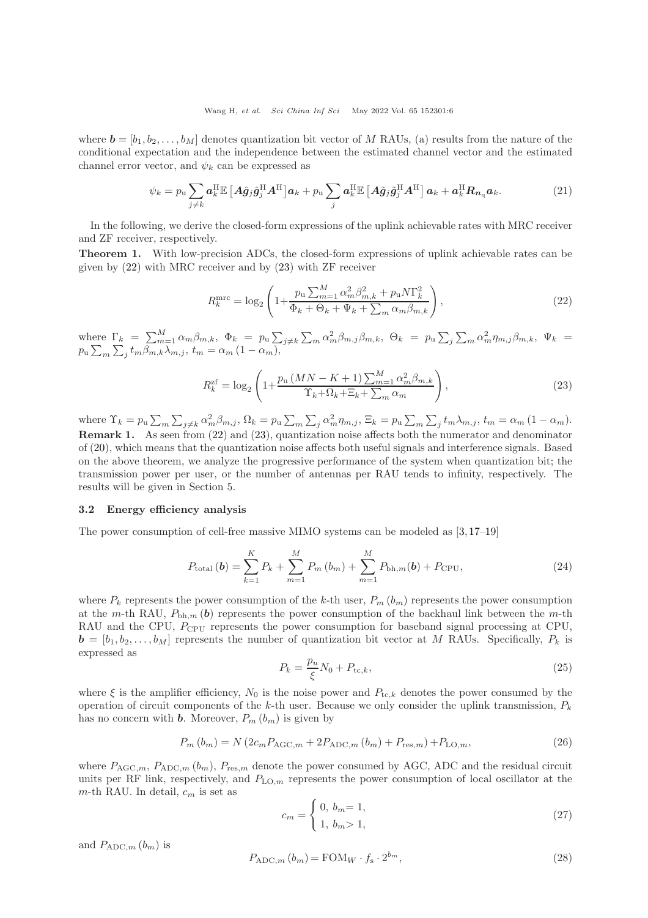where  $\mathbf{b} = [b_1, b_2, \dots, b_M]$  denotes quantization bit vector of M RAUs, (a) results from the nature of the conditional expectation and the independence between the estimated channel vector and the estimated channel error vector, and  $\psi_k$  can be expressed as

$$
\psi_k = p_u \sum_{j \neq k} a_k^{\rm H} \mathbb{E} \left[ A \hat{g}_j \hat{g}_j^{\rm H} A^{\rm H} \right] a_k + p_u \sum_j a_k^{\rm H} \mathbb{E} \left[ A \tilde{g}_j \tilde{g}_j^{\rm H} A^{\rm H} \right] a_k + a_k^{\rm H} R_{n_q} a_k. \tag{21}
$$

In the following, we derive the closed-form expressions of the uplink achievable rates with MRC receiver and ZF receiver, respectively.

Theorem 1. With low-precision ADCs, the closed-form expressions of uplink achievable rates can be given by [\(22\)](#page-5-0) with MRC receiver and by [\(23\)](#page-5-1) with ZF receiver

<span id="page-5-0"></span>
$$
R_k^{\text{mrc}} = \log_2\left(1 + \frac{p_\text{u}\sum_{m=1}^M \alpha_m^2 \beta_{m,k}^2 + p_\text{u} N \Gamma_k^2}{\Phi_k + \Theta_k + \Psi_k + \sum_m \alpha_m \beta_{m,k}}\right),\tag{22}
$$

where  $\Gamma_k = \sum_{m=1}^M \alpha_m \beta_{m,k}$ ,  $\Phi_k = p_u \sum_{j \neq k} \sum_m \alpha_m^2 \beta_{m,j} \beta_{m,k}$ ,  $\Theta_k = p_u \sum_j \sum_m \alpha_m^2 \eta_{m,j} \beta_{m,k}$ ,  $\Psi_k = \sum_{j=1}^M \alpha_{m,j} \beta_{m,j}$  $p_\mathrm{u} \sum_{m} \sum_{j} t_m \beta_{m,k} \lambda_{m,j}, t_m = \alpha_m (1 - \alpha_m),$ 

<span id="page-5-1"></span>
$$
R_k^{\text{zf}} = \log_2\left(1 + \frac{p_\text{u}\left(MN - K + 1\right)\sum_{m=1}^M \alpha_m^2 \beta_{m,k}}{\Upsilon_k + \Omega_k + \Xi_k + \sum_m \alpha_m}\right),\tag{23}
$$

where  $\Upsilon_k = p_u \sum_m \sum_{j \neq k} \alpha_m^2 \beta_{m,j}, \Omega_k = p_u \sum_m \sum_j \alpha_m^2 \eta_{m,j}, \Xi_k = p_u \sum_m \sum_j t_m \lambda_{m,j}, t_m = \alpha_m (1 - \alpha_m).$ Remark 1. As seen from [\(22\)](#page-5-0) and [\(23\)](#page-5-1), quantization noise affects both the numerator and denominator of [\(20\)](#page-4-2), which means that the quantization noise affects both useful signals and interference signals. Based on the above theorem, we analyze the progressive performance of the system when quantization bit; the transmission power per user, or the number of antennas per RAU tends to infinity, respectively. The results will be given in Section 5.

### 3.2 Energy efficiency analysis

The power consumption of cell-free massive MIMO systems can be modeled as [\[3,](#page-13-3) [17](#page-14-1)[–19\]](#page-14-2)

<span id="page-5-2"></span>
$$
P_{\text{total}}\left(\boldsymbol{b}\right) = \sum_{k=1}^{K} P_k + \sum_{m=1}^{M} P_m\left(b_m\right) + \sum_{m=1}^{M} P_{\text{bh},m}(\boldsymbol{b}) + P_{\text{CPU}},\tag{24}
$$

where  $P_k$  represents the power consumption of the k-th user,  $P_m(b_m)$  represents the power consumption at the m-th RAU,  $P_{\text{bh},m}$  (b) represents the power consumption of the backhaul link between the m-th RAU and the CPU,  $P_{\text{CPU}}$  represents the power consumption for baseband signal processing at CPU,  $\mathbf{b} = [b_1, b_2, \dots, b_M]$  represents the number of quantization bit vector at M RAUs. Specifically,  $P_k$  is expressed as

$$
P_k = \frac{p_u}{\xi} N_0 + P_{\text{tc},k},\tag{25}
$$

where  $\xi$  is the amplifier efficiency,  $N_0$  is the noise power and  $P_{tc,k}$  denotes the power consumed by the operation of circuit components of the k-th user. Because we only consider the uplink transmission,  $P_k$ has no concern with **b**. Moreover,  $P_m(b_m)$  is given by

$$
P_m(b_m) = N(2c_m P_{\text{AGC},m} + 2P_{\text{ADC},m}(b_m) + P_{\text{res},m}) + P_{\text{LO},m},\tag{26}
$$

where  $P_{\text{AGC},m}$ ,  $P_{\text{ADC},m}$  ( $b_m$ ),  $P_{\text{res},m}$  denote the power consumed by AGC, ADC and the residual circuit units per RF link, respectively, and  $P_{\text{LO},m}$  represents the power consumption of local oscillator at the  $m$ -th RAU. In detail,  $c_m$  is set as

$$
c_m = \begin{cases} 0, & b_m = 1, \\ 1, & b_m > 1, \end{cases} \tag{27}
$$

and  $P_{\text{ADC},m}$   $(b_m)$  is

$$
P_{\text{ADC},m}(b_m) = \text{FOM}_W \cdot f_s \cdot 2^{b_m},\tag{28}
$$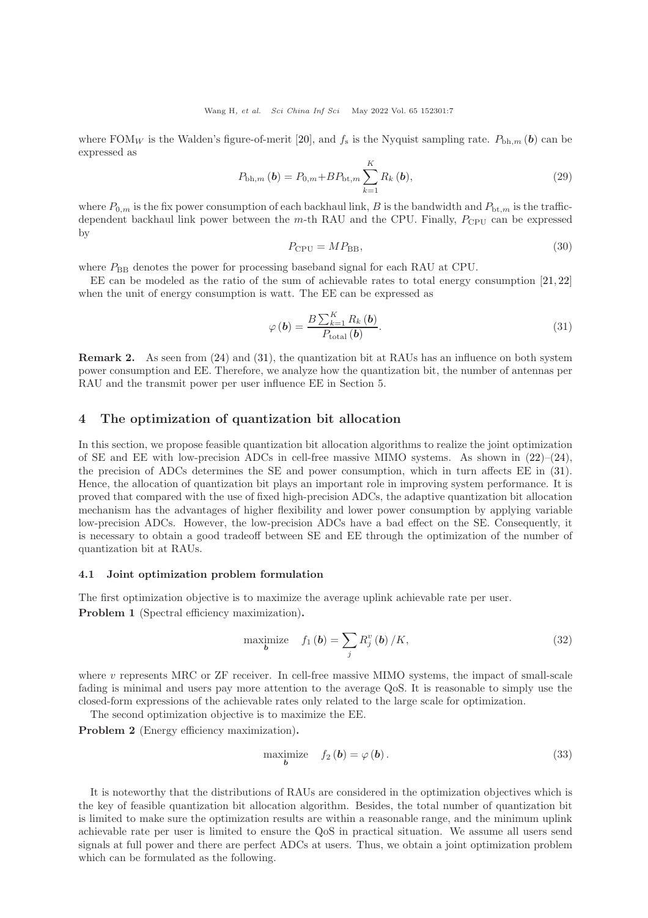where FOM<sub>W</sub> is the Walden's figure-of-merit [\[20\]](#page-14-3), and  $f_s$  is the Nyquist sampling rate.  $P_{\text{bh},m}(\boldsymbol{b})$  can be expressed as

$$
P_{\text{bh},m}(\boldsymbol{b}) = P_{0,m} + BP_{\text{bt},m} \sum_{k=1}^{K} R_k(\boldsymbol{b}),
$$
\n(29)

where  $P_{0,m}$  is the fix power consumption of each backhaul link, B is the bandwidth and  $P_{bt,m}$  is the trafficdependent backhaul link power between the  $m$ -th RAU and the CPU. Finally,  $P_{\text{CPU}}$  can be expressed by

$$
P_{\rm CPU} = MP_{\rm BB},\tag{30}
$$

where  $P_{\text{BB}}$  denotes the power for processing baseband signal for each RAU at CPU.

EE can be modeled as the ratio of the sum of achievable rates to total energy consumption [\[21,](#page-14-4) [22\]](#page-14-5) when the unit of energy consumption is watt. The EE can be expressed as

<span id="page-6-0"></span>
$$
\varphi\left(\boldsymbol{b}\right) = \frac{B\sum_{k=1}^{K} R_k\left(\boldsymbol{b}\right)}{P_{\text{total}}\left(\boldsymbol{b}\right)}.\tag{31}
$$

Remark 2. As seen from [\(24\)](#page-5-2) and [\(31\)](#page-6-0), the quantization bit at RAUs has an influence on both system power consumption and EE. Therefore, we analyze how the quantization bit, the number of antennas per RAU and the transmit power per user influence EE in Section 5.

## 4 The optimization of quantization bit allocation

In this section, we propose feasible quantization bit allocation algorithms to realize the joint optimization of SE and EE with low-precision ADCs in cell-free massive MIMO systems. As shown in  $(22)-(24)$  $(22)-(24)$ , the precision of ADCs determines the SE and power consumption, which in turn affects EE in [\(31\)](#page-6-0). Hence, the allocation of quantization bit plays an important role in improving system performance. It is proved that compared with the use of fixed high-precision ADCs, the adaptive quantization bit allocation mechanism has the advantages of higher flexibility and lower power consumption by applying variable low-precision ADCs. However, the low-precision ADCs have a bad effect on the SE. Consequently, it is necessary to obtain a good tradeoff between SE and EE through the optimization of the number of quantization bit at RAUs.

#### 4.1 Joint optimization problem formulation

The first optimization objective is to maximize the average uplink achievable rate per user. Problem 1 (Spectral efficiency maximization).

<span id="page-6-1"></span>maximize 
$$
f_1(b) = \sum_j R_j^v(b)/K,
$$
 (32)

where v represents MRC or  $ZF$  receiver. In cell-free massive MIMO systems, the impact of small-scale fading is minimal and users pay more attention to the average QoS. It is reasonable to simply use the closed-form expressions of the achievable rates only related to the large scale for optimization.

The second optimization objective is to maximize the EE.

Problem 2 (Energy efficiency maximization).

<span id="page-6-2"></span>
$$
\begin{array}{ll}\text{maximize} & f_2(b) = \varphi(b).\\ & \qquad \qquad (33)\end{array}
$$

It is noteworthy that the distributions of RAUs are considered in the optimization objectives which is the key of feasible quantization bit allocation algorithm. Besides, the total number of quantization bit is limited to make sure the optimization results are within a reasonable range, and the minimum uplink achievable rate per user is limited to ensure the QoS in practical situation. We assume all users send signals at full power and there are perfect ADCs at users. Thus, we obtain a joint optimization problem which can be formulated as the following.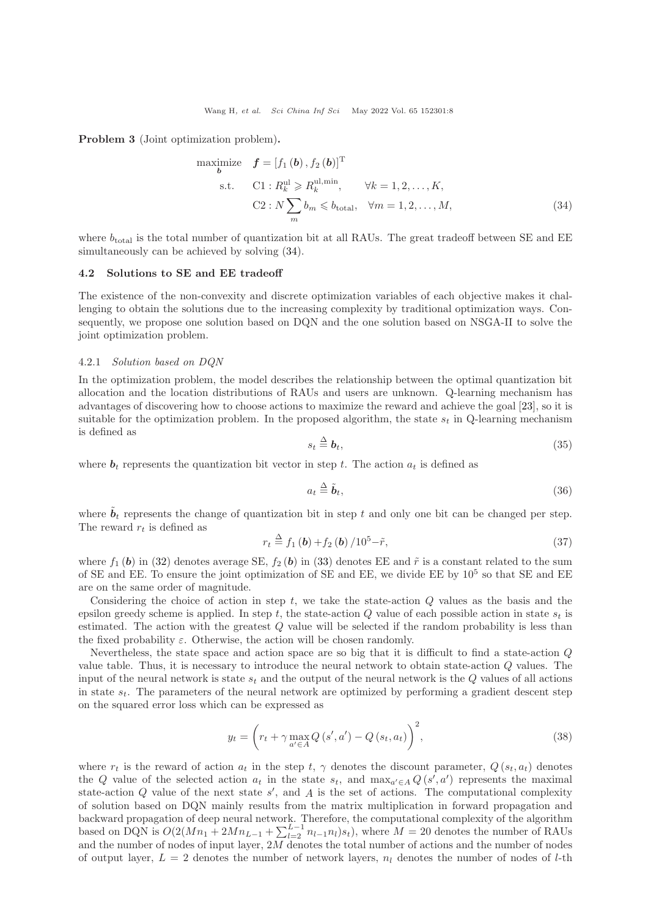Problem 3 (Joint optimization problem).

maximize 
$$
f = [f_1(b), f_2(b)]^T
$$
  
\ns.t.  $C1: R_k^{\text{ul}} \ge R_k^{\text{ul,min}}, \forall k = 1, 2, ..., K,$   
\n $C2: N \sum_m b_m \le b_{\text{total}}, \forall m = 1, 2, ..., M,$  (34)

where  $b_{\text{total}}$  is the total number of quantization bit at all RAUs. The great tradeoff between SE and EE simultaneously can be achieved by solving [\(34\)](#page-7-0).

#### 4.2 Solutions to SE and EE tradeoff

The existence of the non-convexity and discrete optimization variables of each objective makes it challenging to obtain the solutions due to the increasing complexity by traditional optimization ways. Consequently, we propose one solution based on DQN and the one solution based on NSGA-II to solve the joint optimization problem.

### 4.2.1 Solution based on DQN

In the optimization problem, the model describes the relationship between the optimal quantization bit allocation and the location distributions of RAUs and users are unknown. Q-learning mechanism has advantages of discovering how to choose actions to maximize the reward and achieve the goal [\[23\]](#page-14-6), so it is suitable for the optimization problem. In the proposed algorithm, the state  $s_t$  in Q-learning mechanism is defined as

<span id="page-7-0"></span>
$$
s_t \stackrel{\Delta}{=} \mathbf{b}_t,\tag{35}
$$

where  $\mathbf{b}_t$  represents the quantization bit vector in step t. The action  $a_t$  is defined as

$$
a_t \stackrel{\Delta}{=} \tilde{b}_t,\tag{36}
$$

where  $\mathbf{b}_t$  represents the change of quantization bit in step t and only one bit can be changed per step. The reward  $r_t$  is defined as

$$
r_t \stackrel{\Delta}{=} f_1(b) + f_2(b) / 10^5 - \tilde{r},\tag{37}
$$

where  $f_1$  (b) in [\(32\)](#page-6-1) denotes average SE,  $f_2$  (b) in [\(33\)](#page-6-2) denotes EE and  $\tilde{r}$  is a constant related to the sum of SE and EE. To ensure the joint optimization of SE and EE, we divide EE by  $10^5$  so that SE and EE are on the same order of magnitude.

Considering the choice of action in step  $t$ , we take the state-action  $Q$  values as the basis and the epsilon greedy scheme is applied. In step t, the state-action  $Q$  value of each possible action in state  $s_t$  is estimated. The action with the greatest Q value will be selected if the random probability is less than the fixed probability  $\varepsilon$ . Otherwise, the action will be chosen randomly.

Nevertheless, the state space and action space are so big that it is difficult to find a state-action Q value table. Thus, it is necessary to introduce the neural network to obtain state-action Q values. The input of the neural network is state  $s_t$  and the output of the neural network is the  $Q$  values of all actions in state  $s_t$ . The parameters of the neural network are optimized by performing a gradient descent step on the squared error loss which can be expressed as

$$
y_t = \left(r_t + \gamma \max_{a' \in A} Q\left(s', a'\right) - Q\left(s_t, a_t\right)\right)^2,\tag{38}
$$

where  $r_t$  is the reward of action  $a_t$  in the step t,  $\gamma$  denotes the discount parameter,  $Q(s_t, a_t)$  denotes the Q value of the selected action  $a_t$  in the state  $s_t$ , and  $\max_{a' \in A} Q(s', a')$  represents the maximal state-action  $Q$  value of the next state  $s'$ , and  $A$  is the set of actions. The computational complexity of solution based on DQN mainly results from the matrix multiplication in forward propagation and backward propagation of deep neural network. Therefore, the computational complexity of the algorithm based on DQN is  $O(2(Mn_1 + 2Mn_{L-1} + \sum_{l=2}^{L-1} n_{l-1}n_l)s_t)$ , where  $M = 20$  denotes the number of RAUs and the number of nodes of input layer, 2M denotes the total number of actions and the number of nodes of output layer,  $L = 2$  denotes the number of network layers,  $n_l$  denotes the number of nodes of l-th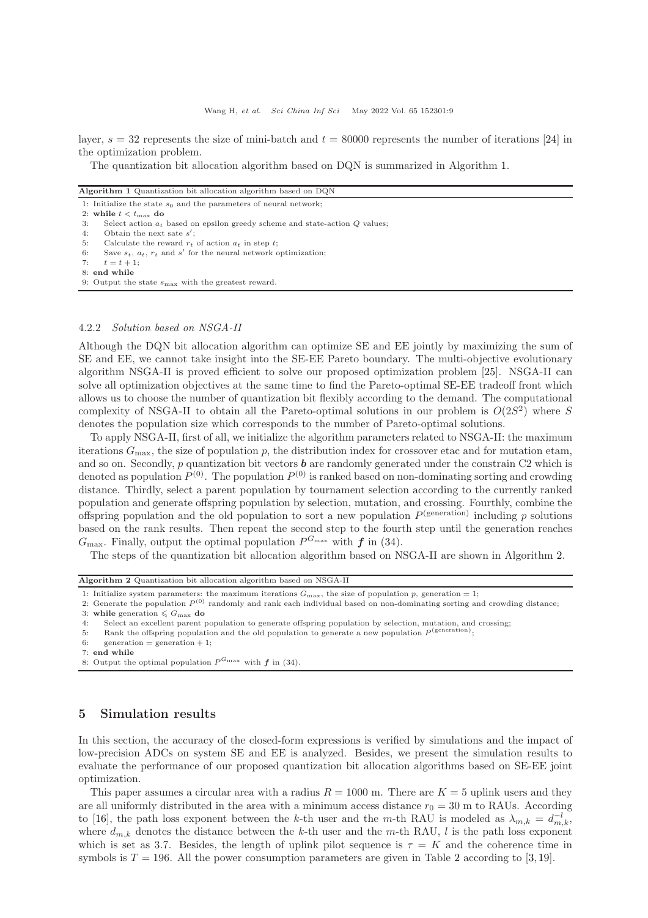layer,  $s = 32$  represents the size of mini-batch and  $t = 80000$  represents the number of iterations [\[24\]](#page-14-7) in the optimization problem.

<span id="page-8-0"></span>The quantization bit allocation algorithm based on DQN is summarized in Algorithm [1.](#page-8-0)

| <b>Algorithm 1</b> Quantization bit allocation algorithm based on DQN |  |
|-----------------------------------------------------------------------|--|
| 1: Initialize the state $s_0$ and the parameters of neural network;   |  |

2: while  $t < t_{\text{max}}$  do

- 3: Select action  $a_t$  based on epsilon greedy scheme and state-action Q values;
- 4: Obtain the next sate  $s'$ ;
- 5: Calculate the reward  $r_t$  of action  $a_t$  in step  $t$ ;
- 6: Save  $s_t$ ,  $a_t$ ,  $r_t$  and  $s'$  for the neural network optimization;
- 7:  $t = t + 1$ ;
- 8: end while 9: Output the state  $s_{\text{max}}$  with the greatest reward.

## 4.2.2 Solution based on NSGA-II

Although the DQN bit allocation algorithm can optimize SE and EE jointly by maximizing the sum of SE and EE, we cannot take insight into the SE-EE Pareto boundary. The multi-objective evolutionary algorithm NSGA-II is proved efficient to solve our proposed optimization problem [\[25\]](#page-14-8). NSGA-II can solve all optimization objectives at the same time to find the Pareto-optimal SE-EE tradeoff front which allows us to choose the number of quantization bit flexibly according to the demand. The computational complexity of NSGA-II to obtain all the Pareto-optimal solutions in our problem is  $O(2S^2)$  where S denotes the population size which corresponds to the number of Pareto-optimal solutions.

To apply NSGA-II, first of all, we initialize the algorithm parameters related to NSGA-II: the maximum iterations  $G_{\text{max}}$ , the size of population p, the distribution index for crossover etac and for mutation etam, and so on. Secondly, p quantization bit vectors  $\boldsymbol{b}$  are randomly generated under the constrain C2 which is denoted as population  $P^{(0)}$ . The population  $P^{(0)}$  is ranked based on non-dominating sorting and crowding distance. Thirdly, select a parent population by tournament selection according to the currently ranked population and generate offspring population by selection, mutation, and crossing. Fourthly, combine the offspring population and the old population to sort a new population  $P<sup>(generation)</sup>$  including p solutions based on the rank results. Then repeat the second step to the fourth step until the generation reaches  $G_{\text{max}}$ . Finally, output the optimal population  $P^{G_{\text{max}}}$  with  $f$  in [\(34\)](#page-7-0).

<span id="page-8-1"></span>The steps of the quantization bit allocation algorithm based on NSGA-II are shown in Algorithm [2.](#page-8-1)

Algorithm 2 Quantization bit allocation algorithm based on NSGA-II

1: Initialize system parameters: the maximum iterations  $G_{\text{max}}$ , the size of population p, generation = 1;

2: Generate the population  $P^{(0)}$  randomly and rank each individual based on non-dominating sorting and crowding distance; 3: while generation  $\leqslant$   $G_{\max}$  do

4: Select an excellent parent population to generate offspring population by selection, mutation, and crossing;

- 5: Rank the offspring population and the old population to generate a new population  $P^{\text{(generation)}}$ ;
- 6: generation = generation + 1;
- 7: end while
- 8: Output the optimal population  $P^{G_{\text{max}}}$  with  $f$  in [\(34\)](#page-7-0).

## 5 Simulation results

In this section, the accuracy of the closed-form expressions is verified by simulations and the impact of low-precision ADCs on system SE and EE is analyzed. Besides, we present the simulation results to evaluate the performance of our proposed quantization bit allocation algorithms based on SE-EE joint optimization.

This paper assumes a circular area with a radius  $R = 1000$  m. There are  $K = 5$  uplink users and they are all uniformly distributed in the area with a minimum access distance  $r_0 = 30$  m to RAUs. According to [\[16\]](#page-13-15), the path loss exponent between the k-th user and the m-th RAU is modeled as  $\lambda_{m,k} = d_{m,k}^{-l}$ , where  $d_{m,k}$  denotes the distance between the k-th user and the m-th RAU, l is the path loss exponent which is set as 3.7. Besides, the length of uplink pilot sequence is  $\tau = K$  and the coherence time in symbols is  $T = 196$ . All the power consumption parameters are given in Table [2](#page-9-0) according to [\[3,](#page-13-3)[19\]](#page-14-2).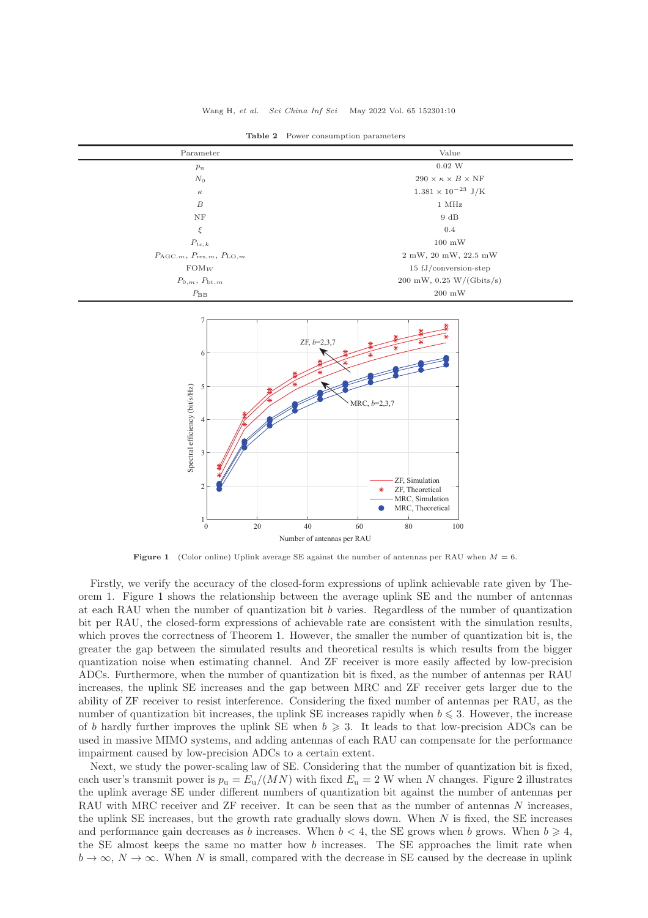<span id="page-9-0"></span>

| Parameter                                                   | Value                                         |
|-------------------------------------------------------------|-----------------------------------------------|
| $p_{\rm u}$                                                 | $0.02\ \text{W}$                              |
| $N_0$                                                       | $290 \times \kappa \times B \times \text{NF}$ |
| $\kappa$                                                    | $1.381 \times 10^{-23}$ J/K                   |
| $\boldsymbol{B}$                                            | 1 MHz                                         |
| NF                                                          | 9 dB                                          |
| ξ                                                           | 0.4                                           |
| $P_{tc,k}$                                                  | $100 \text{ mW}$                              |
| $P_{\text{AGC},m}$ , $P_{\text{res},m}$ , $P_{\text{LO},m}$ | 2 mW, 20 mW, 22.5 mW                          |
| $FOM_W$                                                     | $15 \text{ fJ}/\text{conversion-step}$        |
| $P_{0,m}, P_{\text{bt},m}$                                  | $200$ mW, $0.25$ W/(Gbits/s)                  |
| $P_{\rm BB}$                                                | $200 \, \mathrm{mW}$                          |

Table 2 Power consumption parameters

<span id="page-9-1"></span>

**Figure 1** (Color online) Uplink average SE against the number of antennas per RAU when  $M = 6$ .

Firstly, we verify the accuracy of the closed-form expressions of uplink achievable rate given by Theorem 1. Figure [1](#page-9-1) shows the relationship between the average uplink SE and the number of antennas at each RAU when the number of quantization bit  $b$  varies. Regardless of the number of quantization bit per RAU, the closed-form expressions of achievable rate are consistent with the simulation results, which proves the correctness of Theorem 1. However, the smaller the number of quantization bit is, the greater the gap between the simulated results and theoretical results is which results from the bigger quantization noise when estimating channel. And ZF receiver is more easily affected by low-precision ADCs. Furthermore, when the number of quantization bit is fixed, as the number of antennas per RAU increases, the uplink SE increases and the gap between MRC and ZF receiver gets larger due to the ability of ZF receiver to resist interference. Considering the fixed number of antennas per RAU, as the number of quantization bit increases, the uplink SE increases rapidly when  $b \leq 3$ . However, the increase of b hardly further improves the uplink SE when  $b \geqslant 3$ . It leads to that low-precision ADCs can be used in massive MIMO systems, and adding antennas of each RAU can compensate for the performance impairment caused by low-precision ADCs to a certain extent.

Next, we study the power-scaling law of SE. Considering that the number of quantization bit is fixed, each user's transmit power is  $p_u = E_u/(MN)$  with fixed  $E_u = 2$  $E_u = 2$  W when N changes. Figure 2 illustrates the uplink average SE under different numbers of quantization bit against the number of antennas per RAU with MRC receiver and  $ZF$  receiver. It can be seen that as the number of antennas  $N$  increases, the uplink SE increases, but the growth rate gradually slows down. When  $N$  is fixed, the SE increases and performance gain decreases as b increases. When  $b < 4$ , the SE grows when b grows. When  $b \ge 4$ , the SE almost keeps the same no matter how b increases. The SE approaches the limit rate when  $b \to \infty$ ,  $N \to \infty$ . When N is small, compared with the decrease in SE caused by the decrease in uplink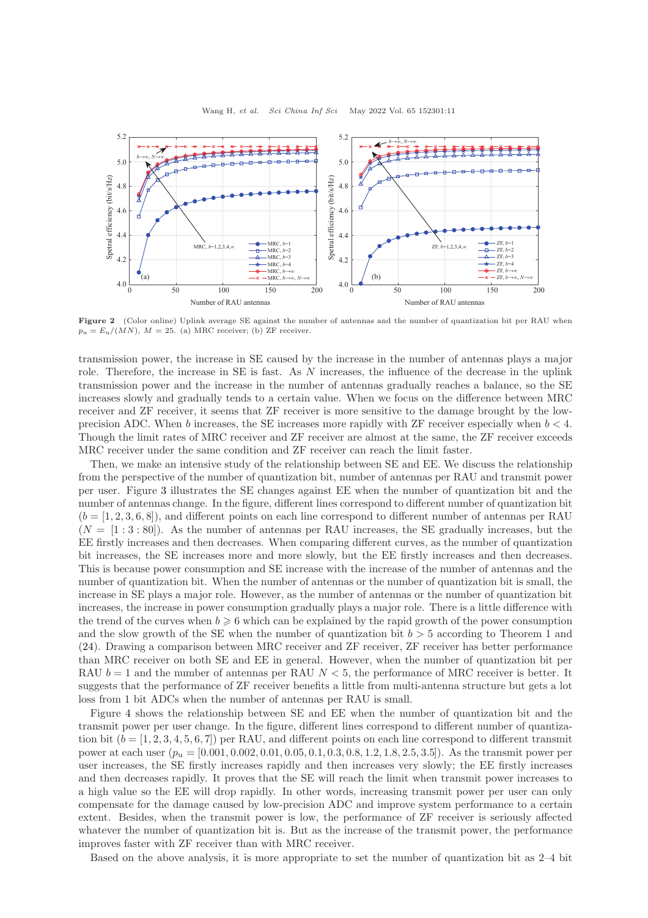<span id="page-10-0"></span>

Figure 2 (Color online) Uplink average SE against the number of antennas and the number of quantization bit per RAU when  $p_u = E_u/(MN)$ ,  $M = 25$ . (a) MRC receiver; (b) ZF receiver.

transmission power, the increase in SE caused by the increase in the number of antennas plays a major role. Therefore, the increase in SE is fast. As N increases, the influence of the decrease in the uplink transmission power and the increase in the number of antennas gradually reaches a balance, so the SE increases slowly and gradually tends to a certain value. When we focus on the difference between MRC receiver and ZF receiver, it seems that ZF receiver is more sensitive to the damage brought by the lowprecision ADC. When b increases, the SE increases more rapidly with ZF receiver especially when  $b < 4$ . Though the limit rates of MRC receiver and ZF receiver are almost at the same, the ZF receiver exceeds MRC receiver under the same condition and ZF receiver can reach the limit faster.

Then, we make an intensive study of the relationship between SE and EE. We discuss the relationship from the perspective of the number of quantization bit, number of antennas per RAU and transmit power per user. Figure [3](#page-11-0) illustrates the SE changes against EE when the number of quantization bit and the number of antennas change. In the figure, different lines correspond to different number of quantization bit  $(b = [1, 2, 3, 6, 8])$ , and different points on each line correspond to different number of antennas per RAU  $(N = [1:3:80])$ . As the number of antennas per RAU increases, the SE gradually increases, but the EE firstly increases and then decreases. When comparing different curves, as the number of quantization bit increases, the SE increases more and more slowly, but the EE firstly increases and then decreases. This is because power consumption and SE increase with the increase of the number of antennas and the number of quantization bit. When the number of antennas or the number of quantization bit is small, the increase in SE plays a major role. However, as the number of antennas or the number of quantization bit increases, the increase in power consumption gradually plays a major role. There is a little difference with the trend of the curves when  $b \ge 6$  which can be explained by the rapid growth of the power consumption and the slow growth of the SE when the number of quantization bit  $b > 5$  according to Theorem 1 and [\(24\)](#page-5-2). Drawing a comparison between MRC receiver and ZF receiver, ZF receiver has better performance than MRC receiver on both SE and EE in general. However, when the number of quantization bit per RAU  $b = 1$  and the number of antennas per RAU  $N < 5$ , the performance of MRC receiver is better. It suggests that the performance of ZF receiver benefits a little from multi-antenna structure but gets a lot loss from 1 bit ADCs when the number of antennas per RAU is small.

Figure [4](#page-11-1) shows the relationship between SE and EE when the number of quantization bit and the transmit power per user change. In the figure, different lines correspond to different number of quantization bit  $(b = [1, 2, 3, 4, 5, 6, 7])$  per RAU, and different points on each line correspond to different transmit power at each user  $(p_u = [0.001, 0.002, 0.01, 0.05, 0.1, 0.3, 0.8, 1.2, 1.8, 2.5, 3.5]$ . As the transmit power per user increases, the SE firstly increases rapidly and then increases very slowly; the EE firstly increases and then decreases rapidly. It proves that the SE will reach the limit when transmit power increases to a high value so the EE will drop rapidly. In other words, increasing transmit power per user can only compensate for the damage caused by low-precision ADC and improve system performance to a certain extent. Besides, when the transmit power is low, the performance of ZF receiver is seriously affected whatever the number of quantization bit is. But as the increase of the transmit power, the performance improves faster with ZF receiver than with MRC receiver.

Based on the above analysis, it is more appropriate to set the number of quantization bit as 2–4 bit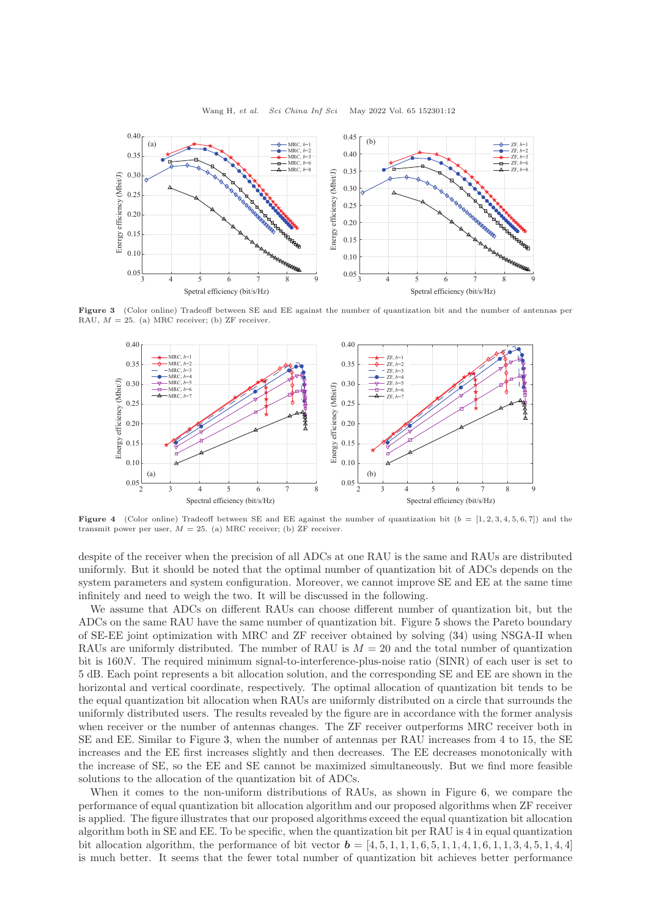<span id="page-11-0"></span>

<span id="page-11-1"></span>Figure 3 (Color online) Tradeoff between SE and EE against the number of quantization bit and the number of antennas per RAU,  $M = 25$ . (a) MRC receiver; (b) ZF receiver.



Figure 4 (Color online) Tradeoff between SE and EE against the number of quantization bit  $(b = [1, 2, 3, 4, 5, 6, 7])$  and the transmit power per user,  $M = 25$ . (a) MRC receiver; (b) ZF receiver.

despite of the receiver when the precision of all ADCs at one RAU is the same and RAUs are distributed uniformly. But it should be noted that the optimal number of quantization bit of ADCs depends on the system parameters and system configuration. Moreover, we cannot improve SE and EE at the same time infinitely and need to weigh the two. It will be discussed in the following.

We assume that ADCs on different RAUs can choose different number of quantization bit, but the ADCs on the same RAU have the same number of quantization bit. Figure [5](#page-12-0) shows the Pareto boundary of SE-EE joint optimization with MRC and ZF receiver obtained by solving [\(34\)](#page-7-0) using NSGA-II when RAUs are uniformly distributed. The number of RAU is  $M = 20$  and the total number of quantization bit is 160N. The required minimum signal-to-interference-plus-noise ratio (SINR) of each user is set to 5 dB. Each point represents a bit allocation solution, and the corresponding SE and EE are shown in the horizontal and vertical coordinate, respectively. The optimal allocation of quantization bit tends to be the equal quantization bit allocation when RAUs are uniformly distributed on a circle that surrounds the uniformly distributed users. The results revealed by the figure are in accordance with the former analysis when receiver or the number of antennas changes. The ZF receiver outperforms MRC receiver both in SE and EE. Similar to Figure [3,](#page-11-0) when the number of antennas per RAU increases from 4 to 15, the SE increases and the EE first increases slightly and then decreases. The EE decreases monotonically with the increase of SE, so the EE and SE cannot be maximized simultaneously. But we find more feasible solutions to the allocation of the quantization bit of ADCs.

When it comes to the non-uniform distributions of RAUs, as shown in Figure [6,](#page-12-0) we compare the performance of equal quantization bit allocation algorithm and our proposed algorithms when ZF receiver is applied. The figure illustrates that our proposed algorithms exceed the equal quantization bit allocation algorithm both in SE and EE. To be specific, when the quantization bit per RAU is 4 in equal quantization bit allocation algorithm, the performance of bit vector  $\mathbf{b} = [4, 5, 1, 1, 1, 6, 5, 1, 1, 4, 1, 6, 1, 1, 3, 4, 5, 1, 4, 4]$ is much better. It seems that the fewer total number of quantization bit achieves better performance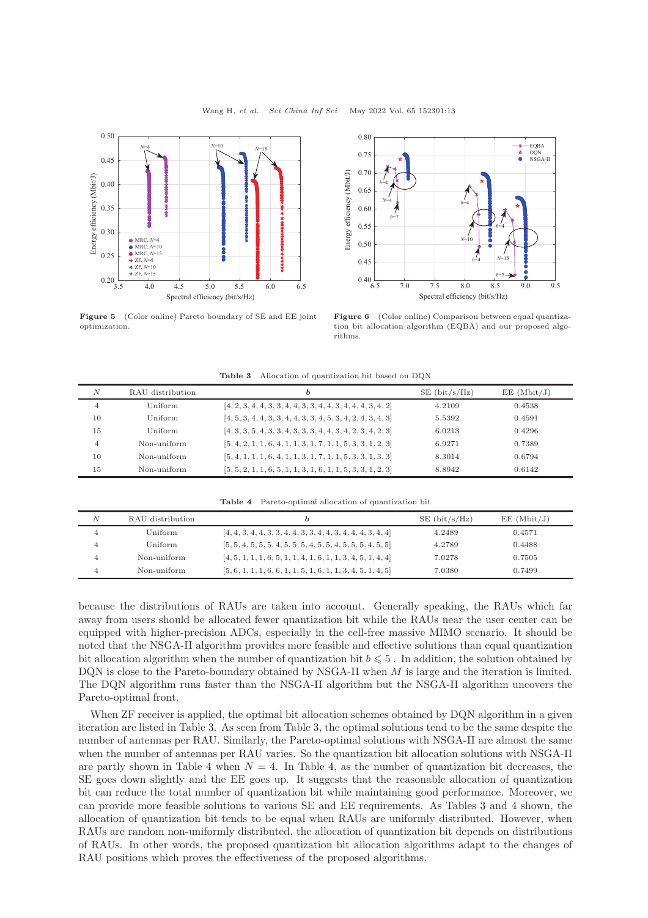<span id="page-12-0"></span>

Figure 5 (Color online) Pareto boundary of SE and EE joint optimization.



Figure 6 (Color online) Comparison between equal quantization bit allocation algorithm (EQBA) and our proposed algorithms.

<span id="page-12-1"></span>

| $\boldsymbol{N}$<br>EE (Mbit/J)<br>$SE$ (bit/s/Hz)<br>RAU distribution<br>b<br>$[4, 2, 3, 4, 4, 3, 3, 4, 4, 3, 3, 4, 4, 3, 4, 4, 4, 3, 4, 2]$<br>Uniform<br>4.2109<br>0.4538<br>4<br>$[4, 5, 3, 4, 4, 3, 3, 4, 4, 3, 3, 4, 5, 3, 4, 2, 4, 3, 4, 3]$<br>10<br>Uniform<br>0.4591<br>5.5392<br>$[4, 3, 3, 5, 4, 3, 3, 4, 3, 3, 3, 4, 4, 3, 4, 2, 3, 4, 2, 3]$<br>15<br>0.4296<br>Uniform<br>6.0213 |   |             |                                                                |        |        |  |
|-------------------------------------------------------------------------------------------------------------------------------------------------------------------------------------------------------------------------------------------------------------------------------------------------------------------------------------------------------------------------------------------------|---|-------------|----------------------------------------------------------------|--------|--------|--|
|                                                                                                                                                                                                                                                                                                                                                                                                 |   |             |                                                                |        |        |  |
|                                                                                                                                                                                                                                                                                                                                                                                                 |   |             |                                                                |        |        |  |
|                                                                                                                                                                                                                                                                                                                                                                                                 |   |             |                                                                |        |        |  |
|                                                                                                                                                                                                                                                                                                                                                                                                 |   |             |                                                                |        |        |  |
|                                                                                                                                                                                                                                                                                                                                                                                                 | 4 | Non-uniform | $[5, 4, 2, 1, 1, 6, 4, 1, 1, 3, 1, 7, 1, 1, 5, 3, 3, 1, 2, 3]$ | 6.9271 | 0.7389 |  |
| $[5, 4, 1, 1, 1, 6, 4, 1, 1, 3, 1, 7, 1, 1, 5, 3, 3, 1, 3, 3]$<br>Non-uniform<br>10<br>0.6794<br>8.3014                                                                                                                                                                                                                                                                                         |   |             |                                                                |        |        |  |
| $[5, 5, 2, 1, 1, 6, 5, 1, 1, 3, 1, 6, 1, 1, 5, 3, 3, 1, 2, 3]$<br>15<br>Non-uniform<br>0.6142<br>8.8942                                                                                                                                                                                                                                                                                         |   |             |                                                                |        |        |  |

Table 3 Allocation of quantization bit based on DQN

Table 4 Pareto-optimal allocation of quantization bit

<span id="page-12-2"></span>

| N              | RAU distribution | D                                                              | $SE$ (bit/s/Hz) | EE (Mbit/J) |  |
|----------------|------------------|----------------------------------------------------------------|-----------------|-------------|--|
| $\overline{4}$ | Uniform          | $[4, 4, 3, 4, 4, 3, 3, 4, 4, 3, 3, 4, 4, 3, 4, 4, 4, 3, 4, 4]$ | 4.2489          | 0.4571      |  |
| 4              | Uniform          | $[5, 5, 4, 5, 5, 5, 4, 5, 5, 5, 4, 5, 5, 4, 5, 5, 5, 4, 5, 5]$ | 4.2789          | 0.4488      |  |
| 4              | Non-uniform      | $[4, 5, 1, 1, 1, 6, 5, 1, 1, 4, 1, 6, 1, 1, 3, 4, 5, 1, 4, 4]$ | 7.0278          | 0.7505      |  |
| 4              | Non-uniform      | $[5, 6, 1, 1, 1, 6, 6, 1, 1, 5, 1, 6, 1, 1, 3, 4, 5, 1, 4, 5]$ | 7.0380          | 0.7499      |  |

because the distributions of RAUs are taken into account. Generally speaking, the RAUs which far away from users should be allocated fewer quantization bit while the RAUs near the user center can be equipped with higher-precision ADCs, especially in the cell-free massive MIMO scenario. It should be noted that the NSGA-II algorithm provides more feasible and effective solutions than equal quantization bit allocation algorithm when the number of quantization bit  $b \leq 5$ . In addition, the solution obtained by DQN is close to the Pareto-boundary obtained by NSGA-II when  $M$  is large and the iteration is limited. The DQN algorithm runs faster than the NSGA-II algorithm but the NSGA-II algorithm uncovers the Pareto-optimal front.

When ZF receiver is applied, the optimal bit allocation schemes obtained by DQN algorithm in a given iteration are listed in Table [3.](#page-12-1) As seen from Table [3,](#page-12-1) the optimal solutions tend to be the same despite the number of antennas per RAU. Similarly, the Pareto-optimal solutions with NSGA-II are almost the same when the number of antennas per RAU varies. So the quantization bit allocation solutions with NSGA-II are partly shown in Table [4](#page-12-2) when  $N = 4$ . In Table [4,](#page-12-2) as the number of quantization bit decreases, the SE goes down slightly and the EE goes up. It suggests that the reasonable allocation of quantization bit can reduce the total number of quantization bit while maintaining good performance. Moreover, we can provide more feasible solutions to various SE and EE requirements. As Tables [3](#page-12-1) and [4](#page-12-2) shown, the allocation of quantization bit tends to be equal when RAUs are uniformly distributed. However, when RAUs are random non-uniformly distributed, the allocation of quantization bit depends on distributions of RAUs. In other words, the proposed quantization bit allocation algorithms adapt to the changes of RAU positions which proves the effectiveness of the proposed algorithms.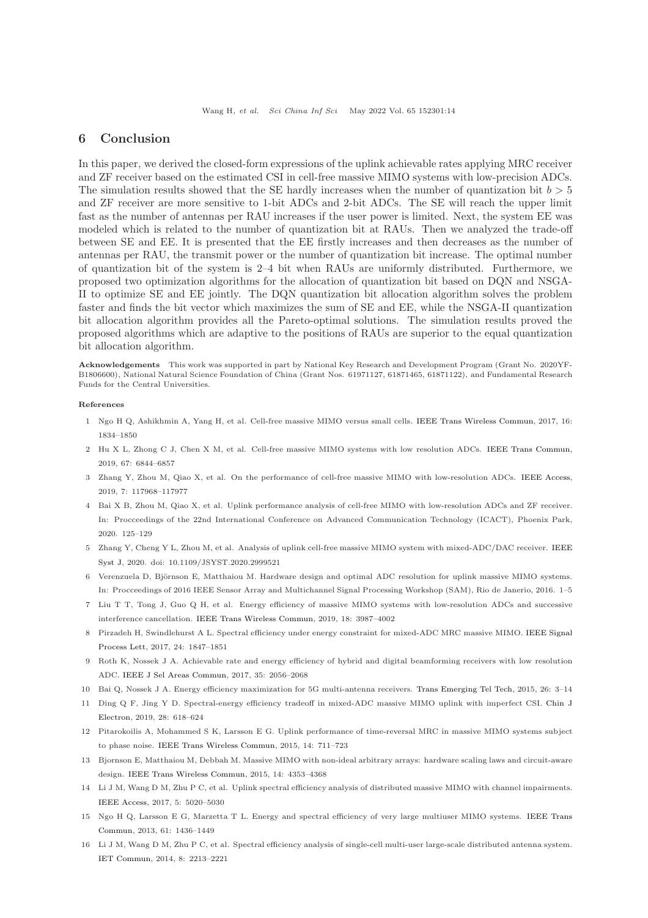## 6 Conclusion

In this paper, we derived the closed-form expressions of the uplink achievable rates applying MRC receiver and ZF receiver based on the estimated CSI in cell-free massive MIMO systems with low-precision ADCs. The simulation results showed that the SE hardly increases when the number of quantization bit  $b > 5$ and ZF receiver are more sensitive to 1-bit ADCs and 2-bit ADCs. The SE will reach the upper limit fast as the number of antennas per RAU increases if the user power is limited. Next, the system EE was modeled which is related to the number of quantization bit at RAUs. Then we analyzed the trade-off between SE and EE. It is presented that the EE firstly increases and then decreases as the number of antennas per RAU, the transmit power or the number of quantization bit increase. The optimal number of quantization bit of the system is 2–4 bit when RAUs are uniformly distributed. Furthermore, we proposed two optimization algorithms for the allocation of quantization bit based on DQN and NSGA-II to optimize SE and EE jointly. The DQN quantization bit allocation algorithm solves the problem faster and finds the bit vector which maximizes the sum of SE and EE, while the NSGA-II quantization bit allocation algorithm provides all the Pareto-optimal solutions. The simulation results proved the proposed algorithms which are adaptive to the positions of RAUs are superior to the equal quantization bit allocation algorithm.

Acknowledgements This work was supported in part by National Key Research and Development Program (Grant No. 2020YF-B1806600), National Natural Science Foundation of China (Grant Nos. 61971127, 61871465, 61871122), and Fundamental Research Funds for the Central Universities.

#### <span id="page-13-0"></span>References

- <span id="page-13-1"></span>1 Ngo H Q, Ashikhmin A, Yang H, et al. Cell-free massive MIMO versus small cells. [IEEE Trans Wireless Commun,](https://doi.org/10.1109/TWC.2017.2655515) 2017, 16: 1834–1850
- <span id="page-13-3"></span>2 Hu X L, Zhong C J, Chen X M, et al. Cell-free massive MIMO systems with low resolution ADCs. [IEEE Trans Commun,](https://doi.org/10.1109/TCOMM.2019.2927450) 2019, 67: 6844–6857
- <span id="page-13-4"></span>3 Zhang Y, Zhou M, Qiao X, et al. On the performance of cell-free massive MIMO with low-resolution ADCs. [IEEE Access,](https://doi.org/10.1109/ACCESS.2019.2937094) 2019, 7: 117968–117977
- 4 Bai X B, Zhou M, Qiao X, et al. Uplink performance analysis of cell-free MIMO with low-resolution ADCs and ZF receiver. In: Procceedings of the 22nd International Conference on Advanced Communication Technology (ICACT), Phoenix Park, 2020. 125–129
- <span id="page-13-5"></span><span id="page-13-2"></span>5 Zhang Y, Cheng Y L, Zhou M, et al. Analysis of uplink cell-free massive MIMO system with mixed-ADC/DAC receiver. IEEE Syst J, 2020. doi: 10.1109/JSYST.2020.2999521
- <span id="page-13-6"></span>6 Verenzuela D, Björnson E, Matthaiou M. Hardware design and optimal ADC resolution for uplink massive MIMO systems. In: Procceedings of 2016 IEEE Sensor Array and Multichannel Signal Processing Workshop (SAM), Rio de Janerio, 2016. 1–5
- <span id="page-13-7"></span>7 Liu T T, Tong J, Guo Q H, et al. Energy efficiency of massive MIMO systems with low-resolution ADCs and successive interference cancellation. [IEEE Trans Wireless Commun,](https://doi.org/10.1109/TWC.2019.2920129) 2019, 18: 3987–4002
- <span id="page-13-9"></span>8 Pirzadeh H, Swindlehurst A L. Spectral efficiency under energy constraint for mixed-ADC MRC massive MIMO. IEEE Signal Process Lett, 2017, 24: 1847–1851
- <span id="page-13-10"></span>9 Roth K, Nossek J A. Achievable rate and energy efficiency of hybrid and digital beamforming receivers with low resolution ADC. [IEEE J Sel Areas Commun,](https://doi.org/10.1109/JSAC.2017.2720398) 2017, 35: 2056–2068
- <span id="page-13-8"></span>10 Bai Q, Nossek J A. Energy efficiency maximization for 5G multi-antenna receivers. [Trans Emerging Tel Tech,](https://doi.org/10.1002/ett.2892) 2015, 26: 3–14
- <span id="page-13-11"></span>11 Ding Q [F, Jing Y D. Spectral-energy efficiency tradeoff in mixed-ADC massive MIMO uplink with imperfect CSI.](https://doi.org/10.1049/cje.2019.02.010) Chin J Electron, 2019, 28: 618–624
- <span id="page-13-12"></span>12 Pitarokoilis A, Mohammed S K, Larsson E G. Uplink performance of time-reversal MRC in massive MIMO systems subject to phase noise. [IEEE Trans Wireless Commun,](https://doi.org/10.1109/TWC.2014.2359018) 2015, 14: 711–723
- <span id="page-13-13"></span>13 Bjornson E, Matthaiou M, Debbah M. Massive MIMO with non-ideal arbitrary arrays: hardware scaling laws and circuit-aware design. [IEEE Trans Wireless Commun,](https://doi.org/10.1109/TWC.2015.2420095) 2015, 14: 4353–4368
- <span id="page-13-14"></span>14 Li J M, Wang D M, Zhu P C, et al. Uplink spectral efficiency analysis of distributed massive MIMO with channel impairments. [IEEE Access,](https://doi.org/10.1109/ACCESS.2017.2694010) 2017, 5: 5020–5030
- <span id="page-13-15"></span>15 Ngo H Q[, Larsson E G, Marzetta T L. Energy and spectral efficiency of very large multiuser MIMO systems.](https://doi.org/10.1109/TCOMM.2013.020413.110848) IEEE Trans Commun, 2013, 61: 1436–1449
- 16 Li J M, Wang D M, Zhu P C, et al. Spectral efficiency analysis of single-cell multi-user large-scale distributed antenna system. [IET Commun,](https://doi.org/10.1049/iet-com.2013.0855) 2014, 8: 2213–2221